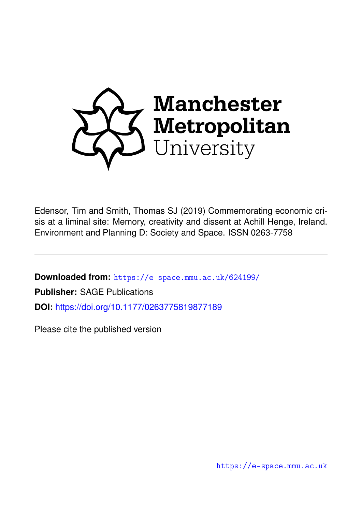

Edensor, Tim and Smith, Thomas SJ (2019) Commemorating economic crisis at a liminal site: Memory, creativity and dissent at Achill Henge, Ireland. Environment and Planning D: Society and Space. ISSN 0263-7758

**Downloaded from:** <https://e-space.mmu.ac.uk/624199/>

**Publisher:** SAGE Publications

**DOI:** <https://doi.org/10.1177/0263775819877189>

Please cite the published version

<https://e-space.mmu.ac.uk>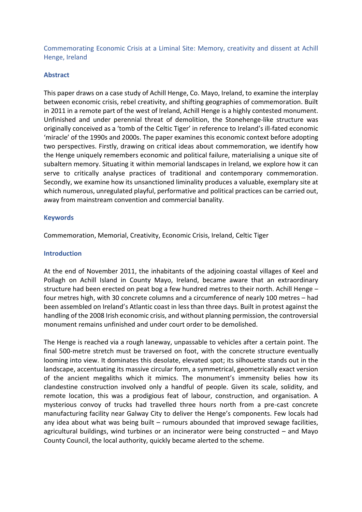Commemorating Economic Crisis at a Liminal Site: Memory, creativity and dissent at Achill Henge, Ireland

### **Abstract**

This paper draws on a case study of Achill Henge, Co. Mayo, Ireland, to examine the interplay between economic crisis, rebel creativity, and shifting geographies of commemoration. Built in 2011 in a remote part of the west of Ireland, Achill Henge is a highly contested monument. Unfinished and under perennial threat of demolition, the Stonehenge-like structure was originally conceived as a 'tomb of the Celtic Tiger' in reference to Ireland's ill-fated economic 'miracle' of the 1990s and 2000s. The paper examines this economic context before adopting two perspectives. Firstly, drawing on critical ideas about commemoration, we identify how the Henge uniquely remembers economic and political failure, materialising a unique site of subaltern memory. Situating it within memorial landscapes in Ireland, we explore how it can serve to critically analyse practices of traditional and contemporary commemoration. Secondly, we examine how its unsanctioned liminality produces a valuable, exemplary site at which numerous, unregulated playful, performative and political practices can be carried out, away from mainstream convention and commercial banality.

## **Keywords**

Commemoration, Memorial, Creativity, Economic Crisis, Ireland, Celtic Tiger

### **Introduction**

At the end of November 2011, the inhabitants of the adjoining coastal villages of Keel and Pollagh on Achill Island in County Mayo, Ireland, became aware that an extraordinary structure had been erected on peat bog a few hundred metres to their north. Achill Henge – four metres high, with 30 concrete columns and a circumference of nearly 100 metres – had been assembled on Ireland's Atlantic coast in less than three days. Built in protest against the handling of the 2008 Irish economic crisis, and without planning permission, the controversial monument remains unfinished and under court order to be demolished.

The Henge is reached via a rough laneway, unpassable to vehicles after a certain point. The final 500-metre stretch must be traversed on foot, with the concrete structure eventually looming into view. It dominates this desolate, elevated spot; its silhouette stands out in the landscape, accentuating its massive circular form, a symmetrical, geometrically exact version of the ancient megaliths which it mimics. The monument's immensity belies how its clandestine construction involved only a handful of people. Given its scale, solidity, and remote location, this was a prodigious feat of labour, construction, and organisation. A mysterious convoy of trucks had travelled three hours north from a pre-cast concrete manufacturing facility near Galway City to deliver the Henge's components. Few locals had any idea about what was being built – rumours abounded that improved sewage facilities, agricultural buildings, wind turbines or an incinerator were being constructed – and Mayo County Council, the local authority, quickly became alerted to the scheme.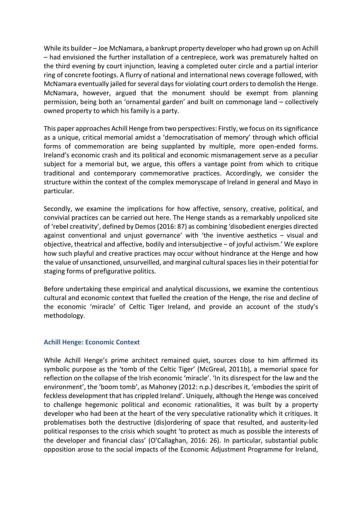While its builder – Joe McNamara, a bankrupt property developer who had grown up on Achill – had envisioned the further installation of a centrepiece, work was prematurely halted on the third evening by court injunction, leaving a completed outer circle and a partial interior ring of concrete footings. A flurry of national and international news coverage followed, with McNamara eventually jailed for several days for violating court orders to demolish the Henge. McNamara, however, argued that the monument should be exempt from planning permission, being both an 'ornamental garden' and built on commonage land – collectively owned property to which his family is a party.

This paper approaches Achill Henge from two perspectives: Firstly, we focus on its significance as a unique, critical memorial amidst a 'democratisation of memory' through which official forms of commemoration are being supplanted by multiple, more open-ended forms. Ireland's economic crash and its political and economic mismanagement serve as a peculiar subject for a memorial but, we argue, this offers a vantage point from which to critique traditional and contemporary commemorative practices. Accordingly, we consider the structure within the context of the complex memoryscape of Ireland in general and Mayo in particular.

Secondly, we examine the implications for how affective, sensory, creative, political, and convivial practices can be carried out here. The Henge stands as a remarkably unpoliced site of 'rebel creativity', defined by Demos (2016: 87) as combining 'disobedient energies directed against conventional and unjust governance' with 'the inventive aesthetics − visual and objective, theatrical and affective, bodily and intersubjective − of joyful activism.' We explore how such playful and creative practices may occur without hindrance at the Henge and how the value of unsanctioned, unsurveilled, and marginal cultural spaceslies in their potential for staging forms of prefigurative politics.

Before undertaking these empirical and analytical discussions, we examine the contentious cultural and economic context that fuelled the creation of the Henge, the rise and decline of the economic 'miracle' of Celtic Tiger Ireland, and provide an account of the study's methodology.

## **Achill Henge: Economic Context**

While Achill Henge's prime architect remained quiet, sources close to him affirmed its symbolic purpose as the 'tomb of the Celtic Tiger' (McGreal, 2011b), a memorial space for reflection on the collapse of the Irish economic 'miracle'. 'In its disrespect for the law and the environment', the 'boom tomb', as Mahoney (2012: n.p.) describes it, 'embodies the spirit of feckless development that has crippled Ireland'. Uniquely, although the Henge was conceived to challenge hegemonic political and economic rationalities, it was built by a property developer who had been at the heart of the very speculative rationality which it critiques. It problematises both the destructive (dis)ordering of space that resulted, and austerity-led political responses to the crisis which sought 'to protect as much as possible the interests of the developer and financial class' (O'Callaghan, 2016: 26). In particular, substantial public opposition arose to the social impacts of the Economic Adjustment Programme for Ireland,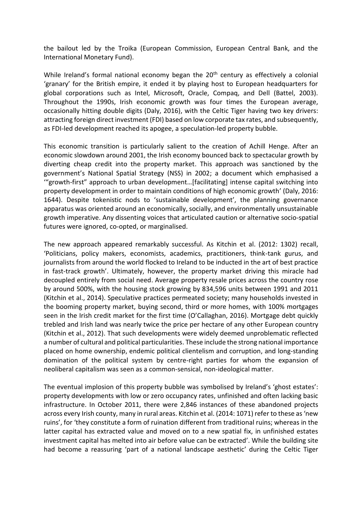the bailout led by the Troika (European Commission, European Central Bank, and the International Monetary Fund).

While Ireland's formal national economy began the  $20<sup>th</sup>$  century as effectively a colonial 'granary' for the British empire, it ended it by playing host to European headquarters for global corporations such as Intel, Microsoft, Oracle, Compaq, and Dell (Battel, 2003). Throughout the 1990s, Irish economic growth was four times the European average, occasionally hitting double digits (Daly, 2016), with the Celtic Tiger having two key drivers: attracting foreign direct investment (FDI) based on low corporate tax rates, and subsequently, as FDI-led development reached its apogee, a speculation-led property bubble.

This economic transition is particularly salient to the creation of Achill Henge. After an economic slowdown around 2001, the Irish economy bounced back to spectacular growth by diverting cheap credit into the property market. This approach was sanctioned by the government's National Spatial Strategy (NSS) in 2002; a document which emphasised a '"growth-first" approach to urban development…[facilitating] intense capital switching into property development in order to maintain conditions of high economic growth' (Daly, 2016: 1644). Despite tokenistic nods to 'sustainable development', the planning governance apparatus was oriented around an economically, socially, and environmentally unsustainable growth imperative. Any dissenting voices that articulated caution or alternative socio-spatial futures were ignored, co-opted, or marginalised.

The new approach appeared remarkably successful. As Kitchin et al. (2012: 1302) recall, 'Politicians, policy makers, economists, academics, practitioners, think-tank gurus, and journalists from around the world flocked to Ireland to be inducted in the art of best practice in fast-track growth'. Ultimately, however, the property market driving this miracle had decoupled entirely from social need. Average property resale prices across the country rose by around 500%, with the housing stock growing by 834,596 units between 1991 and 2011 (Kitchin et al., 2014). Speculative practices permeated society; many households invested in the booming property market, buying second, third or more homes, with 100% mortgages seen in the Irish credit market for the first time (O'Callaghan, 2016). Mortgage debt quickly trebled and Irish land was nearly twice the price per hectare of any other European country (Kitchin et al., 2012). That such developments were widely deemed unproblematic reflected a number of cultural and political particularities. These include the strong national importance placed on home ownership, endemic political clientelism and corruption, and long-standing domination of the political system by centre-right parties for whom the expansion of neoliberal capitalism was seen as a common-sensical, non-ideological matter.

The eventual implosion of this property bubble was symbolised by Ireland's 'ghost estates': property developments with low or zero occupancy rates, unfinished and often lacking basic infrastructure. In October 2011, there were 2,846 instances of these abandoned projects across every Irish county, many in rural areas. Kitchin et al. (2014: 1071) refer to these as 'new ruins', for 'they constitute a form of ruination different from traditional ruins; whereas in the latter capital has extracted value and moved on to a new spatial fix, in unfinished estates investment capital has melted into air before value can be extracted'. While the building site had become a reassuring 'part of a national landscape aesthetic' during the Celtic Tiger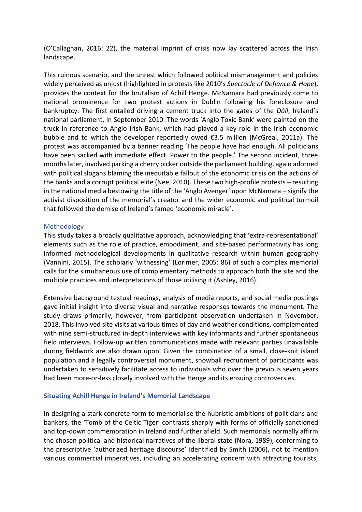(O'Callaghan, 2016: 22), the material imprint of crisis now lay scattered across the Irish landscape.

This ruinous scenario, and the unrest which followed political mismanagement and policies widely perceived as unjust (highlighted in protests like 2010's *Spectacle of Defiance & Hope*), provides the context for the brutalism of Achill Henge. McNamara had previously come to national prominence for two protest actions in Dublin following his foreclosure and bankruptcy. The first entailed driving a cement truck into the gates of the *Dáil*, Ireland's national parliament, in September 2010. The words 'Anglo Toxic Bank' were painted on the truck in reference to Anglo Irish Bank, which had played a key role in the Irish economic bubble and to which the developer reportedly owed  $\epsilon$ 3.5 million (McGreal, 2011a). The protest was accompanied by a banner reading 'The people have had enough. All politicians have been sacked with immediate effect. Power to the people.' The second incident, three months later, involved parking a cherry picker outside the parliament building, again adorned with political slogans blaming the inequitable fallout of the economic crisis on the actions of the banks and a corrupt political elite (Nee, 2010). These two high-profile protests – resulting in the national media bestowing the title of the 'Anglo Avenger' upon McNamara – signify the activist disposition of the memorial's creator and the wider economic and political turmoil that followed the demise of Ireland's famed 'economic miracle'.

## Methodology

This study takes a broadly qualitative approach, acknowledging that 'extra-representational' elements such as the role of practice, embodiment, and site-based performativity has long informed methodological developments in qualitative research within human geography (Vannini, 2015). The scholarly 'witnessing' (Lorimer, 2005: 86) of such a complex memorial calls for the simultaneous use of complementary methods to approach both the site and the multiple practices and interpretations of those utilising it (Ashley, 2016).

Extensive background textual readings, analysis of media reports, and social media postings gave initial insight into diverse visual and narrative responses towards the monument. The study draws primarily, however, from participant observation undertaken in November, 2018. This involved site visits at various times of day and weather conditions, complemented with nine semi-structured in-depth interviews with key informants and further spontaneous field interviews. Follow-up written communications made with relevant parties unavailable during fieldwork are also drawn upon. Given the combination of a small, close-knit island population and a legally controversial monument, snowball recruitment of participants was undertaken to sensitively facilitate access to individuals who over the previous seven years had been more-or-less closely involved with the Henge and its ensuing controversies.

#### **Situating Achill Henge in Ireland's Memorial Landscape**

In designing a stark concrete form to memorialise the hubristic ambitions of politicians and bankers, the 'Tomb of the Celtic Tiger' contrasts sharply with forms of officially sanctioned and top-down commemoration in Ireland and further afield. Such memorials normally affirm the chosen political and historical narratives of the liberal state (Nora, 1989), conforming to the prescriptive 'authorized heritage discourse' identified by Smith (2006), not to mention various commercial imperatives, including an accelerating concern with attracting tourists,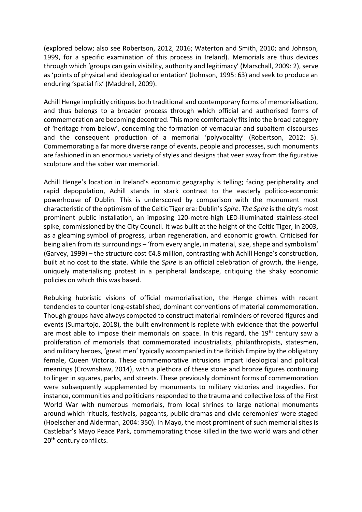(explored below; also see Robertson, 2012, 2016; Waterton and Smith, 2010; and Johnson, 1999, for a specific examination of this process in Ireland). Memorials are thus devices through which 'groups can gain visibility, authority and legitimacy' (Marschall, 2009: 2), serve as 'points of physical and ideological orientation' (Johnson, 1995: 63) and seek to produce an enduring 'spatial fix' (Maddrell, 2009).

Achill Henge implicitly critiques both traditional and contemporary forms of memorialisation, and thus belongs to a broader process through which official and authorised forms of commemoration are becoming decentred. This more comfortably fitsinto the broad category of 'heritage from below', concerning the formation of vernacular and subaltern discourses and the consequent production of a memorial 'polyvocality' (Robertson, 2012: 5). Commemorating a far more diverse range of events, people and processes, such monuments are fashioned in an enormous variety of styles and designs that veer away from the figurative sculpture and the sober war memorial.

Achill Henge's location in Ireland's economic geography is telling; facing peripherality and rapid depopulation, Achill stands in stark contrast to the easterly politico-economic powerhouse of Dublin. This is underscored by comparison with the monument most characteristic of the optimism of the Celtic Tiger era: Dublin's *Spire*. *The Spire* isthe city's most prominent public installation, an imposing 120-metre-high LED-illuminated stainless-steel spike, commissioned by the City Council. It was built at the height of the Celtic Tiger, in 2003, as a gleaming symbol of progress, urban regeneration, and economic growth. Criticised for being alien from its surroundings – 'from every angle, in material, size, shape and symbolism' (Garvey, 1999) – the structure cost €4.8 million, contrasting with Achill Henge's construction, built at no cost to the state. While the *Spire* is an official celebration of growth, the Henge, uniquely materialising protest in a peripheral landscape, critiquing the shaky economic policies on which this was based.

Rebuking hubristic visions of official memorialisation, the Henge chimes with recent tendencies to counter long-established, dominant conventions of material commemoration. Though groups have always competed to construct material reminders of revered figures and events (Sumartojo, 2018), the built environment is replete with evidence that the powerful are most able to impose their memorials on space. In this regard, the  $19<sup>th</sup>$  century saw a proliferation of memorials that commemorated industrialists, philanthropists, statesmen, and military heroes, 'great men' typically accompanied in the British Empire by the obligatory female, Queen Victoria. These commemorative intrusions impart ideological and political meanings (Crownshaw, 2014), with a plethora of these stone and bronze figures continuing to linger in squares, parks, and streets. These previously dominant forms of commemoration were subsequently supplemented by monuments to military victories and tragedies. For instance, communities and politicians responded to the trauma and collective loss of the First World War with numerous memorials, from local shrines to large national monuments around which 'rituals, festivals, pageants, public dramas and civic ceremonies' were staged (Hoelscher and Alderman, 2004: 350). In Mayo, the most prominent of such memorial sites is Castlebar's Mayo Peace Park, commemorating those killed in the two world wars and other 20<sup>th</sup> century conflicts.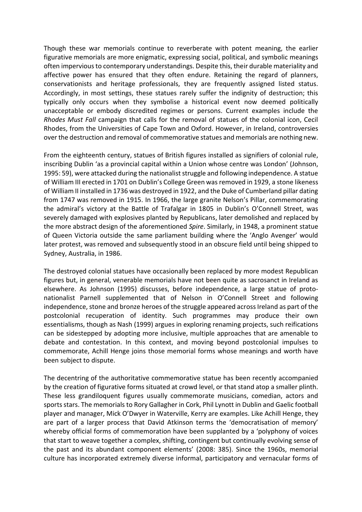Though these war memorials continue to reverberate with potent meaning, the earlier figurative memorials are more enigmatic, expressing social, political, and symbolic meanings often impervious to contemporary understandings. Despite this, their durable materiality and affective power has ensured that they often endure. Retaining the regard of planners, conservationists and heritage professionals, they are frequently assigned listed status. Accordingly, in most settings, these statues rarely suffer the indignity of destruction; this typically only occurs when they symbolise a historical event now deemed politically unacceptable or embody discredited regimes or persons. Current examples include the *Rhodes Must Fall* campaign that calls for the removal of statues of the colonial icon, Cecil Rhodes, from the Universities of Cape Town and Oxford. However, in Ireland, controversies over the destruction and removal of commemorative statues and memorials are nothing new.

From the eighteenth century, statues of British figures installed as signifiers of colonial rule, inscribing Dublin 'as a provincial capital within a Union whose centre was London' (Johnson, 1995: 59), were attacked during the nationalist struggle and following independence. A statue of William III erected in 1701 on Dublin's College Green was removed in 1929, a stone likeness of William II installed in 1736 was destroyed in 1922, and the Duke of Cumberland pillar dating from 1747 was removed in 1915. In 1966, the large granite Nelson's Pillar, commemorating the admiral's victory at the Battle of Trafalgar in 1805 in Dublin's O'Connell Street, was severely damaged with explosives planted by Republicans, later demolished and replaced by the more abstract design of the aforementioned *Spire*. Similarly, in 1948, a prominent statue of Queen Victoria outside the same parliament building where the 'Anglo Avenger' would later protest, was removed and subsequently stood in an obscure field until being shipped to Sydney, Australia, in 1986.

The destroyed colonial statues have occasionally been replaced by more modest Republican figures but, in general, venerable memorials have not been quite as sacrosanct in Ireland as elsewhere. As Johnson (1995) discusses, before independence, a large statue of protonationalist Parnell supplemented that of Nelson in O'Connell Street and following independence, stone and bronze heroes of the struggle appeared across Ireland as part of the postcolonial recuperation of identity. Such programmes may produce their own essentialisms, though as Nash (1999) argues in exploring renaming projects, such reifications can be sidestepped by adopting more inclusive, multiple approaches that are amenable to debate and contestation. In this context, and moving beyond postcolonial impulses to commemorate, Achill Henge joins those memorial forms whose meanings and worth have been subject to dispute.

The decentring of the authoritative commemorative statue has been recently accompanied by the creation of figurative forms situated at crowd level, or that stand atop a smaller plinth. These less grandiloquent figures usually commemorate musicians, comedian, actors and sports stars. The memorials to Rory Gallagher in Cork, Phil Lynott in Dublin and Gaelic football player and manager, Mick O'Dwyer in Waterville, Kerry are examples. Like Achill Henge, they are part of a larger process that David Atkinson terms the 'democratisation of memory' whereby official forms of commemoration have been supplanted by a 'polyphony of voices that start to weave together a complex, shifting, contingent but continually evolving sense of the past and its abundant component elements' (2008: 385). Since the 1960s, memorial culture has incorporated extremely diverse informal, participatory and vernacular forms of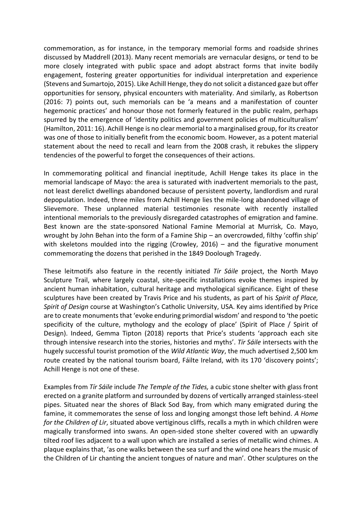commemoration, as for instance, in the temporary memorial forms and roadside shrines discussed by Maddrell (2013). Many recent memorials are vernacular designs, or tend to be more closely integrated with public space and adopt abstract forms that invite bodily engagement, fostering greater opportunities for individual interpretation and experience (Stevens and Sumartojo, 2015). Like Achill Henge, they do not solicit a distanced gaze but offer opportunities for sensory, physical encounters with materiality. And similarly, as Robertson (2016: 7) points out, such memorials can be 'a means and a manifestation of counter hegemonic practices' and honour those not formerly featured in the public realm, perhaps spurred by the emergence of 'identity politics and government policies of multiculturalism' (Hamilton, 2011: 16). Achill Henge is no clear memorial to a marginalised group, for its creator was one of those to initially benefit from the economic boom. However, as a potent material statement about the need to recall and learn from the 2008 crash, it rebukes the slippery tendencies of the powerful to forget the consequences of their actions.

In commemorating political and financial ineptitude, Achill Henge takes its place in the memorial landscape of Mayo: the area is saturated with inadvertent memorials to the past, not least derelict dwellings abandoned because of persistent poverty, landlordism and rural depopulation. Indeed, three miles from Achill Henge lies the mile-long abandoned village of Slievemore. These unplanned material testimonies resonate with recently installed intentional memorials to the previously disregarded catastrophes of emigration and famine. Best known are the state-sponsored National Famine Memorial at Murrisk, Co. Mayo, wrought by John Behan into the form of a Famine Ship – an overcrowded, filthy 'coffin ship' with skeletons moulded into the rigging (Crowley, 2016) – and the figurative monument commemorating the dozens that perished in the 1849 Doolough Tragedy.

These leitmotifs also feature in the recently initiated *Tír Sáile* project, the North Mayo Sculpture Trail, where largely coastal, site-specific installations evoke themes inspired by ancient human inhabitation, cultural heritage and mythological significance. Eight of these sculptures have been created by Travis Price and his students, as part of his *Spirit of Place, Spirit of Design* course at Washington's Catholic University, USA. Key aims identified by Price are to create monuments that 'evoke enduring primordial wisdom' and respond to 'the poetic specificity of the culture, mythology and the ecology of place' (Spirit of Place / Spirit of Design). Indeed, Gemma Tipton (2018) reports that Price's students 'approach each site through intensive research into the stories, histories and myths'. *Tír Sáile* intersects with the hugely successful tourist promotion of the *Wild Atlantic Way*, the much advertised 2,500 km route created by the national tourism board, Fáilte Ireland, with its 170 'discovery points'; Achill Henge is not one of these.

Examples from *Tír Sáile* include *The Temple of the Tides,* a cubic stone shelter with glass front erected on a granite platform and surrounded by dozens of vertically arranged stainless-steel pipes. Situated near the shores of Black Sod Bay, from which many emigrated during the famine, it commemorates the sense of loss and longing amongst those left behind. *A Home for the Children of Lir*, situated above vertiginous cliffs, recalls a myth in which children were magically transformed into swans. An open-sided stone shelter covered with an upwardly tilted roof lies adjacent to a wall upon which are installed a series of metallic wind chimes. A plaque explains that, 'as one walks between the sea surf and the wind one hears the music of the Children of Lir chanting the ancient tongues of nature and man'. Other sculptures on the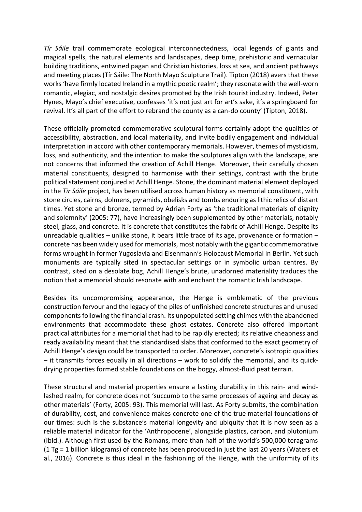*Tír Sáile* trail commemorate ecological interconnectedness, local legends of giants and magical spells, the natural elements and landscapes, deep time, prehistoric and vernacular building traditions, entwined pagan and Christian histories, loss at sea, and ancient pathways and meeting places (Tír Sáile: The North Mayo Sculpture Trail). Tipton (2018) avers that these works 'have firmly located Ireland in a mythic poetic realm'; they resonate with the well-worn romantic, elegiac, and nostalgic desires promoted by the Irish tourist industry. Indeed, Peter Hynes, Mayo's chief executive, confesses 'it's not just art for art's sake, it's a springboard for revival. It's all part of the effort to rebrand the county as a can-do county' (Tipton, 2018).

These officially promoted commemorative sculptural forms certainly adopt the qualities of accessibility, abstraction, and local materiality, and invite bodily engagement and individual interpretation in accord with other contemporary memorials. However, themes of mysticism, loss, and authenticity, and the intention to make the sculptures align with the landscape, are not concerns that informed the creation of Achill Henge. Moreover, their carefully chosen material constituents, designed to harmonise with their settings, contrast with the brute political statement conjured at Achill Henge. Stone, the dominant material element deployed in the *Tír Sáile* project, has been utilised across human history as memorial constituent, with stone circles, cairns, dolmens, pyramids, obelisks and tombs enduring as lithic relics of distant times. Yet stone and bronze, termed by Adrian Forty as 'the traditional materials of dignity and solemnity' (2005: 77), have increasingly been supplemented by other materials, notably steel, glass, and concrete. It is concrete that constitutes the fabric of Achill Henge. Despite its unreadable qualities – unlike stone, it bears little trace of its age, provenance or formation – concrete has been widely used for memorials, most notably with the gigantic commemorative forms wrought in former Yugoslavia and Eisenmann's Holocaust Memorial in Berlin. Yet such monuments are typically sited in spectacular settings or in symbolic urban centres. By contrast, sited on a desolate bog, Achill Henge's brute, unadorned materiality traduces the notion that a memorial should resonate with and enchant the romantic Irish landscape.

Besides its uncompromising appearance, the Henge is emblematic of the previous construction fervour and the legacy of the piles of unfinished concrete structures and unused components following the financial crash. Its unpopulated setting chimes with the abandoned environments that accommodate these ghost estates. Concrete also offered important practical attributes for a memorial that had to be rapidly erected; its relative cheapness and ready availability meant that the standardised slabs that conformed to the exact geometry of Achill Henge's design could be transported to order. Moreover, concrete's isotropic qualities – it transmits forces equally in all directions – work to solidify the memorial, and its quickdrying properties formed stable foundations on the boggy, almost-fluid peat terrain.

These structural and material properties ensure a lasting durability in this rain- and windlashed realm, for concrete does not 'succumb to the same processes of ageing and decay as other materials' (Forty, 2005: 93). This memorial will last. As Forty submits, the combination of durability, cost, and convenience makes concrete one of the true material foundations of our times: such is the substance's material longevity and ubiquity that it is now seen as a reliable material indicator for the 'Anthropocene', alongside plastics, carbon, and plutonium (Ibid.). Although first used by the Romans, more than half of the world's 500,000 teragrams (1 Tg = 1 billion kilograms) of concrete has been produced in just the last 20 years (Waters et al., 2016). Concrete is thus ideal in the fashioning of the Henge, with the uniformity of its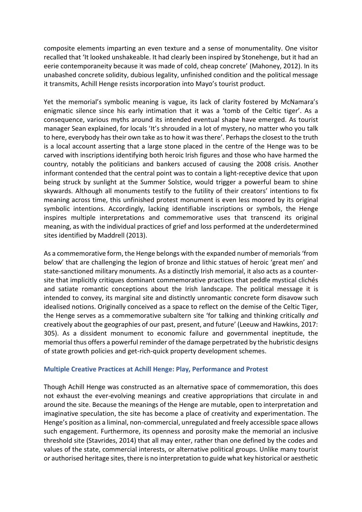composite elements imparting an even texture and a sense of monumentality. One visitor recalled that 'It looked unshakeable. It had clearly been inspired by Stonehenge, but it had an eerie contemporaneity because it was made of cold, cheap concrete' (Mahoney, 2012). In its unabashed concrete solidity, dubious legality, unfinished condition and the political message it transmits, Achill Henge resists incorporation into Mayo's tourist product.

Yet the memorial's symbolic meaning is vague, its lack of clarity fostered by McNamara's enigmatic silence since his early intimation that it was a 'tomb of the Celtic tiger'. As a consequence, various myths around its intended eventual shape have emerged. As tourist manager Sean explained, for locals 'It's shrouded in a lot of mystery, no matter who you talk to here, everybody has their own take as to how it was there'. Perhaps the closest to the truth is a local account asserting that a large stone placed in the centre of the Henge was to be carved with inscriptions identifying both heroic Irish figures and those who have harmed the country, notably the politicians and bankers accused of causing the 2008 crisis. Another informant contended that the central point was to contain a light-receptive device that upon being struck by sunlight at the Summer Solstice, would trigger a powerful beam to shine skywards. Although all monuments testify to the futility of their creators' intentions to fix meaning across time, this unfinished protest monument is even less moored by its original symbolic intentions. Accordingly, lacking identifiable inscriptions or symbols, the Henge inspires multiple interpretations and commemorative uses that transcend its original meaning, as with the individual practices of grief and loss performed at the underdetermined sites identified by Maddrell (2013).

As a commemorative form, the Henge belongs with the expanded number of memorials'from below' that are challenging the legion of bronze and lithic statues of heroic 'great men' and state-sanctioned military monuments. As a distinctly Irish memorial, it also acts as a countersite that implicitly critiques dominant commemorative practices that peddle mystical clichés and satiate romantic conceptions about the Irish landscape. The political message it is intended to convey, its marginal site and distinctly unromantic concrete form disavow such idealised notions. Originally conceived as a space to reflect on the demise of the Celtic Tiger, the Henge serves as a commemorative subaltern site 'for talking and thinking critically *and* creatively about the geographies of our past, present, and future' (Leeuw and Hawkins, 2017: 305). As a dissident monument to economic failure and governmental ineptitude, the memorial thus offers a powerful reminder of the damage perpetrated by the hubristic designs of state growth policies and get-rich-quick property development schemes.

## **Multiple Creative Practices at Achill Henge: Play, Performance and Protest**

Though Achill Henge was constructed as an alternative space of commemoration, this does not exhaust the ever-evolving meanings and creative appropriations that circulate in and around the site. Because the meanings of the Henge are mutable, open to interpretation and imaginative speculation, the site has become a place of creativity and experimentation. The Henge's position as a liminal, non-commercial, unregulated and freely accessible space allows such engagement. Furthermore, its openness and porosity make the memorial an inclusive threshold site (Stavrides, 2014) that all may enter, rather than one defined by the codes and values of the state, commercial interests, or alternative political groups. Unlike many tourist or authorised heritage sites, there is no interpretation to guide what key historical or aesthetic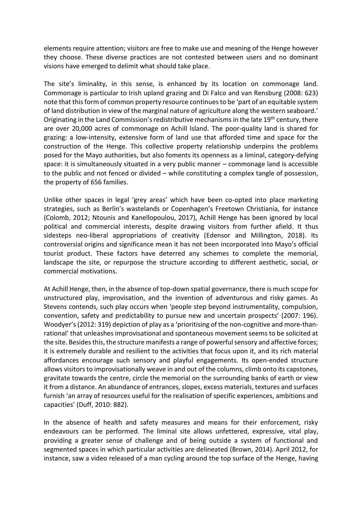elements require attention; visitors are free to make use and meaning of the Henge however they choose. These diverse practices are not contested between users and no dominant visions have emerged to delimit what should take place.

The site's liminality, in this sense, is enhanced by its location on commonage land. Commonage is particular to Irish upland grazing and Di Falco and van Rensburg (2008: 623) note that this form of common property resource continues to be 'part of an equitable system of land distribution in view of the marginal nature of agriculture along the western seaboard.' Originating in the Land Commission's redistributive mechanisms in the late 19<sup>th</sup> century, there are over 20,000 acres of commonage on Achill Island. The poor-quality land is shared for grazing: a low-intensity, extensive form of land use that afforded time and space for the construction of the Henge. This collective property relationship underpins the problems posed for the Mayo authorities, but also foments its openness as a liminal, category-defying space: it is simultaneously situated in a very public manner – commonage land is accessible to the public and not fenced or divided – while constituting a complex tangle of possession, the property of 656 families.

Unlike other spaces in legal 'grey areas' which have been co-opted into place marketing strategies, such as Berlin's wastelands or Copenhagen's Freetown Christiania, for instance (Colomb, 2012; Ntounis and Kanellopoulou, 2017), Achill Henge has been ignored by local political and commercial interests, despite drawing visitors from further afield. It thus sidesteps neo-liberal appropriations of creativity (Edensor and Millington, 2018). Its controversial origins and significance mean it has not been incorporated into Mayo's official tourist product. These factors have deterred any schemes to complete the memorial, landscape the site, or repurpose the structure according to different aesthetic, social, or commercial motivations.

At Achill Henge, then, in the absence of top-down spatial governance, there is much scope for unstructured play, improvisation, and the invention of adventurous and risky games. As Stevens contends, such play occurs when 'people step beyond instrumentality, compulsion, convention, safety and predictability to pursue new and uncertain prospects' (2007: 196). Woodyer's (2012: 319) depiction of play as a 'prioritising of the non-cognitive and more-thanrational' that unleashes improvisational and spontaneous movement seems to be solicited at the site. Besides this, the structure manifests a range of powerful sensory and affective forces; it is extremely durable and resilient to the activities that focus upon it, and its rich material affordances encourage such sensory and playful engagements. Its open-ended structure allows visitors to improvisationally weave in and out of the columns, climb onto its capstones, gravitate towards the centre, circle the memorial on the surrounding banks of earth or view it from a distance. An abundance of entrances, slopes, excess materials, textures and surfaces furnish 'an array of resources useful for the realisation of specific experiences, ambitions and capacities' (Duff, 2010: 882).

In the absence of health and safety measures and means for their enforcement, risky endeavours can be performed. The liminal site allows unfettered, expressive, vital play, providing a greater sense of challenge and of being outside a system of functional and segmented spaces in which particular activities are delineated (Brown, 2014). April 2012, for instance, saw a video released of a man cycling around the top surface of the Henge, having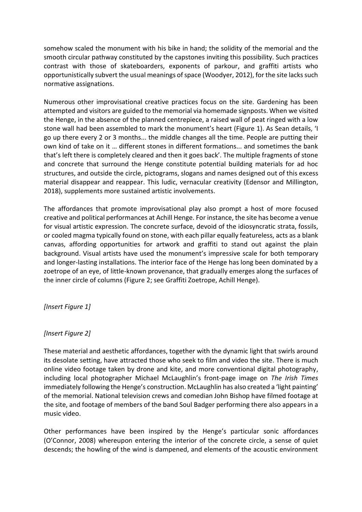somehow scaled the monument with his bike in hand; the solidity of the memorial and the smooth circular pathway constituted by the capstones inviting this possibility. Such practices contrast with those of skateboarders, exponents of parkour, and graffiti artists who opportunistically subvert the usual meanings of space (Woodyer, 2012), for the site lacks such normative assignations.

Numerous other improvisational creative practices focus on the site. Gardening has been attempted and visitors are guided to the memorial via homemade signposts. When we visited the Henge, in the absence of the planned centrepiece, a raised wall of peat ringed with a low stone wall had been assembled to mark the monument's heart (Figure 1). As Sean details, 'I go up there every 2 or 3 months... the middle changes all the time. People are putting their own kind of take on it … different stones in different formations... and sometimes the bank that's left there is completely cleared and then it goes back'. The multiple fragments of stone and concrete that surround the Henge constitute potential building materials for ad hoc structures, and outside the circle, pictograms, slogans and names designed out of this excess material disappear and reappear. This ludic, vernacular creativity (Edensor and Millington, 2018), supplements more sustained artistic involvements.

The affordances that promote improvisational play also prompt a host of more focused creative and political performances at Achill Henge. For instance, the site has become a venue for visual artistic expression. The concrete surface, devoid of the idiosyncratic strata, fossils, or cooled magma typically found on stone, with each pillar equally featureless, acts as a blank canvas, affording opportunities for artwork and graffiti to stand out against the plain background. Visual artists have used the monument's impressive scale for both temporary and longer-lasting installations. The interior face of the Henge has long been dominated by a zoetrope of an eye, of little-known provenance, that gradually emerges along the surfaces of the inner circle of columns (Figure 2; see Graffiti Zoetrope, Achill Henge).

*[Insert Figure 1]*

# *[Insert Figure 2]*

These material and aesthetic affordances, together with the dynamic light that swirls around its desolate setting, have attracted those who seek to film and video the site. There is much online video footage taken by drone and kite, and more conventional digital photography, including local photographer Michael McLaughlin's front-page image on *The Irish Times* immediately following the Henge's construction. McLaughlin has also created a 'light painting' of the memorial. National television crews and comedian John Bishop have filmed footage at the site, and footage of members of the band Soul Badger performing there also appears in a music video.

Other performances have been inspired by the Henge's particular sonic affordances (O'Connor, 2008) whereupon entering the interior of the concrete circle, a sense of quiet descends; the howling of the wind is dampened, and elements of the acoustic environment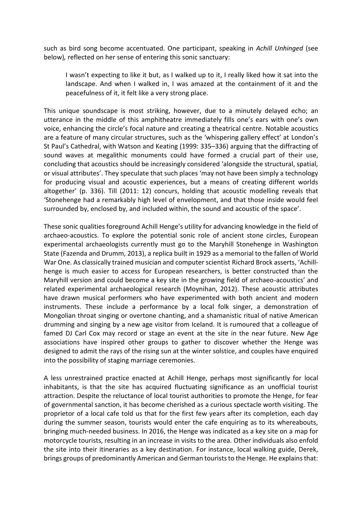such as bird song become accentuated. One participant, speaking in *Achill Unhinged* (see below)*,* reflected on her sense of entering this sonic sanctuary:

I wasn't expecting to like it but, as I walked up to it, I really liked how it sat into the landscape. And when I walked in, I was amazed at the containment of it and the peacefulness of it, it felt like a very strong place.

This unique soundscape is most striking, however, due to a minutely delayed echo; an utterance in the middle of this amphitheatre immediately fills one's ears with one's own voice, enhancing the circle's focal nature and creating a theatrical centre. Notable acoustics are a feature of many circular structures, such as the 'whispering gallery effect' at London's St Paul's Cathedral, with Watson and Keating (1999: 335–336) arguing that the diffracting of sound waves at megalithic monuments could have formed a crucial part of their use, concluding that acoustics should be increasingly considered 'alongside the structural, spatial, or visual attributes'. They speculate that such places 'may not have been simply a technology for producing visual and acoustic experiences, but a means of creating different worlds altogether' (p. 336). Till (2011: 12) concurs, holding that acoustic modelling reveals that 'Stonehenge had a remarkably high level of envelopment, and that those inside would feel surrounded by, enclosed by, and included within, the sound and acoustic of the space'.

These sonic qualities foreground Achill Henge's utility for advancing knowledge in the field of archaeo-acoustics. To explore the potential sonic role of ancient stone circles, European experimental archaeologists currently must go to the Maryhill Stonehenge in Washington State (Fazenda and Drumm, 2013), a replica built in 1929 as a memorial to the fallen of World War One. As classically trained musician and computer scientist Richard Brock asserts, 'Achillhenge is much easier to access for European researchers, is better constructed than the Maryhill version and could become a key site in the growing field of archaeo-acoustics' and related experimental archaeological research (Moynihan, 2012). These acoustic attributes have drawn musical performers who have experimented with both ancient and modern instruments. These include a performance by a local folk singer, a demonstration of Mongolian throat singing or overtone chanting, and a shamanistic ritual of native American drumming and singing by a new age visitor from Iceland. It is rumoured that a colleague of famed DJ Carl Cox may record or stage an event at the site in the near future. New Age associations have inspired other groups to gather to discover whether the Henge was designed to admit the rays of the rising sun at the winter solstice, and couples have enquired into the possibility of staging marriage ceremonies.

A less unrestrained practice enacted at Achill Henge, perhaps most significantly for local inhabitants, is that the site has acquired fluctuating significance as an unofficial tourist attraction. Despite the reluctance of local tourist authorities to promote the Henge, for fear of governmental sanction, it has become cherished as a curious spectacle worth visiting. The proprietor of a local cafe told us that for the first few years after its completion, each day during the summer season, tourists would enter the cafe enquiring as to its whereabouts, bringing much-needed business. In 2016, the Henge was indicated as a key site on a map for motorcycle tourists, resulting in an increase in visits to the area. Other individuals also enfold the site into their itineraries as a key destination. For instance, local walking guide, Derek, brings groups of predominantly American and German tourists to the Henge. He explains that: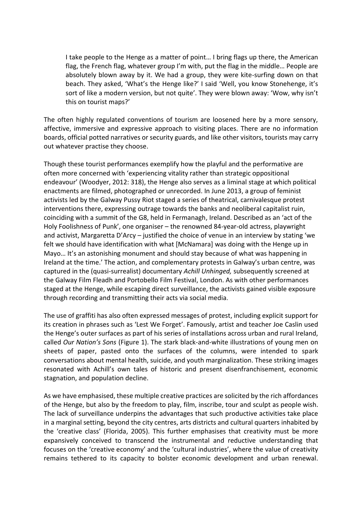I take people to the Henge as a matter of point… I bring flags up there, the American flag, the French flag, whatever group I'm with, put the flag in the middle… People are absolutely blown away by it. We had a group, they were kite-surfing down on that beach. They asked, 'What's the Henge like?' I said 'Well, you know Stonehenge, it's sort of like a modern version, but not quite'. They were blown away: 'Wow, why isn't this on tourist maps?'

The often highly regulated conventions of tourism are loosened here by a more sensory, affective, immersive and expressive approach to visiting places. There are no information boards, official potted narratives or security guards, and like other visitors, tourists may carry out whatever practise they choose.

Though these tourist performances exemplify how the playful and the performative are often more concerned with 'experiencing vitality rather than strategic oppositional endeavour' (Woodyer, 2012: 318), the Henge also serves as a liminal stage at which political enactments are filmed, photographed or unrecorded. In June 2013, a group of feminist activists led by the Galway Pussy Riot staged a series of theatrical, carnivalesque protest interventions there, expressing outrage towards the banks and neoliberal capitalist ruin, coinciding with a summit of the G8, held in Fermanagh, Ireland. Described as an 'act of the Holy Foolishness of Punk', one organiser – the renowned 84-year-old actress, playwright and activist, Margaretta D'Arcy – justified the choice of venue in an interview by stating 'we felt we should have identification with what [McNamara] was doing with the Henge up in Mayo… It's an astonishing monument and should stay because of what was happening in Ireland at the time.' The action, and complementary protests in Galway's urban centre, was captured in the (quasi-surrealist) documentary *Achill Unhinged,* subsequently screened at the Galway Film Fleadh and Portobello Film Festival, London. As with other performances staged at the Henge, while escaping direct surveillance, the activists gained visible exposure through recording and transmitting their acts via social media.

The use of graffiti has also often expressed messages of protest, including explicit support for its creation in phrases such as 'Lest We Forget'. Famously, artist and teacher Joe Caslin used the Henge's outer surfaces as part of his series of installations across urban and rural Ireland, called *Our Nation's Sons* (Figure 1). The stark black-and-white illustrations of young men on sheets of paper, pasted onto the surfaces of the columns, were intended to spark conversations about mental health, suicide, and youth marginalization. These striking images resonated with Achill's own tales of historic and present disenfranchisement, economic stagnation, and population decline.

As we have emphasised, these multiple creative practices are solicited by the rich affordances of the Henge, but also by the freedom to play, film, inscribe, tour and sculpt as people wish. The lack of surveillance underpins the advantages that such productive activities take place in a marginal setting, beyond the city centres, arts districts and cultural quarters inhabited by the 'creative class' (Florida, 2005). This further emphasises that creativity must be more expansively conceived to transcend the instrumental and reductive understanding that focuses on the 'creative economy' and the 'cultural industries', where the value of creativity remains tethered to its capacity to bolster economic development and urban renewal.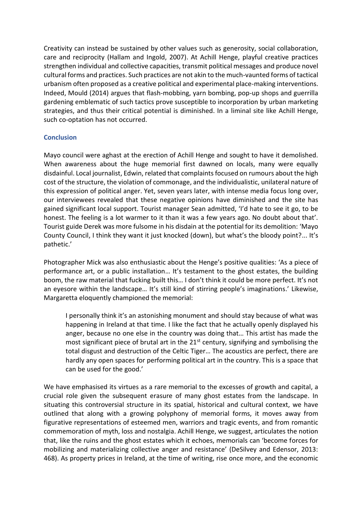Creativity can instead be sustained by other values such as generosity, social collaboration, care and reciprocity (Hallam and Ingold, 2007). At Achill Henge, playful creative practices strengthen individual and collective capacities, transmit political messages and produce novel cultural forms and practices. Such practices are not akin to the much-vaunted forms of tactical urbanism often proposed as a creative political and experimental place-making interventions. Indeed, Mould (2014) argues that flash-mobbing, yarn bombing, pop-up shops and guerrilla gardening emblematic of such tactics prove susceptible to incorporation by urban marketing strategies, and thus their critical potential is diminished. In a liminal site like Achill Henge, such co-optation has not occurred.

# **Conclusion**

Mayo council were aghast at the erection of Achill Henge and sought to have it demolished. When awareness about the huge memorial first dawned on locals, many were equally disdainful. Local journalist, Edwin, related that complaints focused on rumours about the high cost of the structure, the violation of commonage, and the individualistic, unilateral nature of this expression of political anger. Yet, seven years later, with intense media focus long over, our interviewees revealed that these negative opinions have diminished and the site has gained significant local support. Tourist manager Sean admitted, 'I'd hate to see it go, to be honest. The feeling is a lot warmer to it than it was a few years ago. No doubt about that'. Tourist guide Derek was more fulsome in his disdain at the potential for its demolition: 'Mayo County Council, I think they want it just knocked (down), but what's the bloody point?... It's pathetic.'

Photographer Mick was also enthusiastic about the Henge's positive qualities: 'As a piece of performance art, or a public installation… It's testament to the ghost estates, the building boom, the raw material that fucking built this… I don't think it could be more perfect. It's not an eyesore within the landscape… It's still kind of stirring people's imaginations.' Likewise, Margaretta eloquently championed the memorial:

I personally think it's an astonishing monument and should stay because of what was happening in Ireland at that time. I like the fact that he actually openly displayed his anger, because no one else in the country was doing that… This artist has made the most significant piece of brutal art in the 21<sup>st</sup> century, signifying and symbolising the total disgust and destruction of the Celtic Tiger… The acoustics are perfect, there are hardly any open spaces for performing political art in the country. This is a space that can be used for the good.'

We have emphasised its virtues as a rare memorial to the excesses of growth and capital, a crucial role given the subsequent erasure of many ghost estates from the landscape. In situating this controversial structure in its spatial, historical and cultural context, we have outlined that along with a growing polyphony of memorial forms, it moves away from figurative representations of esteemed men, warriors and tragic events, and from romantic commemoration of myth, loss and nostalgia. Achill Henge, we suggest, articulates the notion that, like the ruins and the ghost estates which it echoes, memorials can 'become forces for mobilizing and materializing collective anger and resistance' (DeSilvey and Edensor, 2013: 468). As property prices in Ireland, at the time of writing, rise once more, and the economic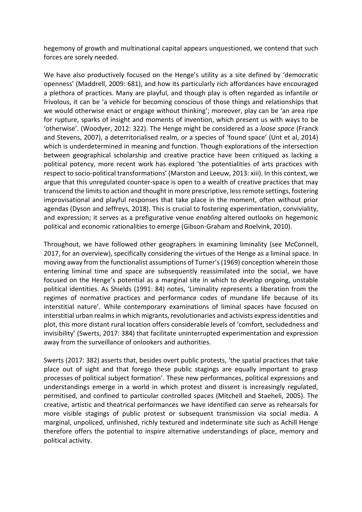hegemony of growth and multinational capital appears unquestioned, we contend that such forces are sorely needed.

We have also productively focused on the Henge's utility as a site defined by 'democratic openness' (Maddrell, 2009: 681), and how its particularly rich affordances have encouraged a plethora of practices. Many are playful, and though play is often regarded as infantile or frivolous, it can be 'a vehicle for becoming conscious of those things and relationships that we would otherwise enact or engage without thinking'; moreover, play can be 'an area ripe for rupture, sparks of insight and moments of invention, which present us with ways to be 'otherwise'. (Woodyer, 2012: 322). The Henge might be considered as a *loose space* (Franck and Stevens, 2007), a deterritorialised realm, or a species of 'found space' (Unt et al, 2014) which is underdetermined in meaning and function. Though explorations of the intersection between geographical scholarship and creative practice have been critiqued as lacking a political potency, more recent work has explored 'the potentialities of arts practices with respect to socio-political transformations' (Marston and Leeuw, 2013: xiii). In this context, we argue that this unregulated counter-space is open to a wealth of creative practices that may transcend the limits to action and thought in more prescriptive, less remote settings, fostering improvisational and playful responses that take place in the moment, often without prior agendas (Dyson and Jeffreys, 2018). This is crucial to fostering experimentation, conviviality, and expression; it serves as a prefigurative venue *enabling* altered outlooks on hegemonic political and economic rationalities to emerge (Gibson-Graham and Roelvink, 2010).

Throughout, we have followed other geographers in examining liminality (see McConnell, 2017, for an overview), specifically considering the virtues of the Henge as a liminal space. In moving away from the functionalist assumptions of Turner's (1969) conception wherein those entering liminal time and space are subsequently reassimilated into the social, we have focused on the Henge's potential as a marginal site in which to *develop* ongoing, unstable political identities. As Shields (1991: 84) notes, 'Liminality represents a liberation from the regimes of normative practices and performance codes of mundane life because of its interstitial nature'. While contemporary examinations of liminal spaces have focused on interstitial urban realms in which migrants, revolutionaries and activists express identities and plot, this more distant rural location offers considerable levels of 'comfort, secludedness and invisibility' (Swerts, 2017: 384) that facilitate uninterrupted experimentation and expression away from the surveillance of onlookers and authorities.

Swerts (2017: 382) asserts that, besides overt public protests, 'the spatial practices that take place out of sight and that forego these public stagings are equally important to grasp processes of political subject formation'. These new performances, political expressions and understandings emerge in a world in which protest and dissent is increasingly regulated, permitised, and confined to particular controlled spaces (Mitchell and Staeheli, 2005). The creative, artistic and theatrical performances we have identified can serve as rehearsals for more visible stagings of public protest or subsequent transmission via social media. A marginal, unpoliced, unfinished, richly textured and indeterminate site such as Achill Henge therefore offers the potential to inspire alternative understandings of place, memory and political activity.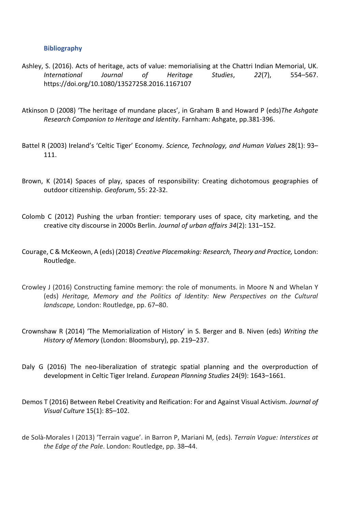## **Bibliography**

- Ashley, S. (2016). Acts of heritage, acts of value: memorialising at the Chattri Indian Memorial, UK. *International Journal of Heritage Studies*, *22*(7), 554–567. https://doi.org/10.1080/13527258.2016.1167107
- Atkinson D (2008) 'The heritage of mundane places', in Graham B and Howard P (eds)*The Ashgate Research Companion to Heritage and Identity*. Farnham: Ashgate, pp.381-396.
- Battel R (2003) Ireland's 'Celtic Tiger' Economy. *Science, Technology, and Human Values* 28(1): 93– 111.
- Brown, K (2014) Spaces of play, spaces of responsibility: Creating dichotomous geographies of outdoor citizenship. *Geoforum*, 55: 22-32.
- Colomb C (2012) Pushing the urban frontier: temporary uses of space, city marketing, and the creative city discourse in 2000s Berlin. *Journal of urban affairs 34*(2): 131–152.
- Courage, C & McKeown, A (eds) (2018) *Creative Placemaking: Research, Theory and Practice,* London: Routledge.
- Crowley J (2016) Constructing famine memory: the role of monuments. in Moore N and Whelan Y (eds) *Heritage, Memory and the Politics of Identity: New Perspectives on the Cultural landscape,* London: Routledge, pp. 67–80.
- Crownshaw R (2014) 'The Memorialization of History' in S. Berger and B. Niven (eds) *Writing the History of Memory* (London: Bloomsbury), pp. 219–237.
- Daly G (2016) The neo-liberalization of strategic spatial planning and the overproduction of development in Celtic Tiger Ireland. *European Planning Studies* 24(9): 1643–1661.
- Demos T (2016) Between Rebel Creativity and Reification: For and Against Visual Activism. *Journal of Visual Culture* 15(1): 85–102.
- de Solà-Morales I (2013) 'Terrain vague'. in Barron P, Mariani M, (eds). *Terrain Vague: Interstices at the Edge of the Pale*. London: Routledge, pp. 38–44.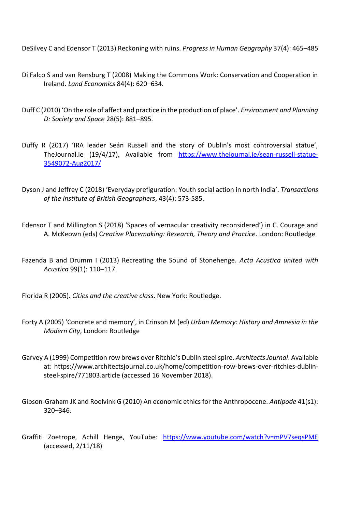DeSilvey C and Edensor T (2013) Reckoning with ruins. *Progress in Human Geography* 37(4): 465–485

- Di Falco S and van Rensburg T (2008) Making the Commons Work: Conservation and Cooperation in Ireland. *Land Economics* 84(4): 620–634.
- Duff C (2010) 'On the role of affect and practice in the production of place'. *Environment and Planning D: Society and Space* 28(5): 881–895.
- Duffy R (2017) 'IRA leader Seán Russell and the story of Dublin's most controversial statue', TheJournal.ie (19/4/17), Available from [https://www.thejournal.ie/sean-russell-statue-](https://www.thejournal.ie/sean-russell-statue-3549072-Aug2017/)[3549072-Aug2017/](https://www.thejournal.ie/sean-russell-statue-3549072-Aug2017/)
- Dyson J and Jeffrey C (2018) 'Everyday prefiguration: Youth social action in north India'. *Transactions of the Institute of British Geographers*, 43(4): 573-585.
- Edensor T and Millington S (2018) 'Spaces of vernacular creativity reconsidered') in C. Courage and A. McKeown (eds) C*reative Placemaking: Research, Theory and Practice*. London: Routledge
- Fazenda B and Drumm I (2013) Recreating the Sound of Stonehenge. *Acta Acustica united with Acustica* 99(1): 110–117.
- Florida R (2005). *Cities and the creative class*. New York: Routledge.
- Forty A (2005) 'Concrete and memory', in Crinson M (ed) *Urban Memory: History and Amnesia in the Modern City*, London: Routledge
- Garvey A (1999) Competition row brews over Ritchie's Dublin steel spire. *Architects Journal*. Available at: https://www.architectsjournal.co.uk/home/competition-row-brews-over-ritchies-dublinsteel-spire/771803.article (accessed 16 November 2018).
- Gibson-Graham JK and Roelvink G (2010) An economic ethics for the Anthropocene. *Antipode* 41(s1): 320–346.
- Graffiti Zoetrope, Achill Henge, YouTube: <https://www.youtube.com/watch?v=mPV7seqsPME> (accessed, 2/11/18)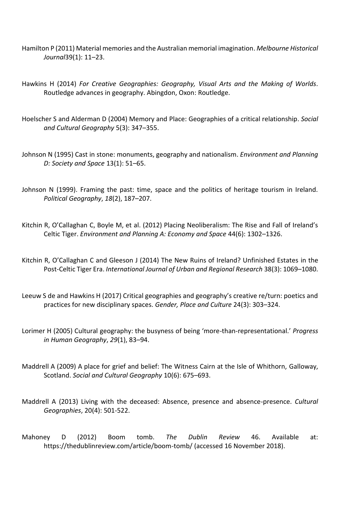- Hamilton P (2011) Material memories and the Australian memorial imagination. *Melbourne Historical Journal*39(1): 11–23.
- Hawkins H (2014) *For Creative Geographies: Geography, Visual Arts and the Making of Worlds*. Routledge advances in geography. Abingdon, Oxon: Routledge.
- Hoelscher S and Alderman D (2004) Memory and Place: Geographies of a critical relationship. *Social and Cultural Geography* 5(3): 347–355.
- Johnson N (1995) Cast in stone: monuments, geography and nationalism. *Environment and Planning D: Society and Space* 13(1): 51–65.
- Johnson N (1999). Framing the past: time, space and the politics of heritage tourism in Ireland. *Political Geography*, *18*(2), 187–207.
- Kitchin R, O'Callaghan C, Boyle M, et al. (2012) Placing Neoliberalism: The Rise and Fall of Ireland's Celtic Tiger. *Environment and Planning A: Economy and Space* 44(6): 1302–1326.
- Kitchin R, O'Callaghan C and Gleeson J (2014) The New Ruins of Ireland? Unfinished Estates in the Post-Celtic Tiger Era. *International Journal of Urban and Regional Research* 38(3): 1069–1080.
- Leeuw S de and Hawkins H (2017) Critical geographies and geography's creative re/turn: poetics and practices for new disciplinary spaces. *Gender, Place and Culture* 24(3): 303–324.
- Lorimer H (2005) Cultural geography: the busyness of being 'more-than-representational.' *Progress in Human Geography*, *29*(1), 83–94.
- Maddrell A (2009) A place for grief and belief: The Witness Cairn at the Isle of Whithorn, Galloway, Scotland. *Social and Cultural Geography* 10(6): 675–693.
- Maddrell A (2013) Living with the deceased: Absence, presence and absence-presence. *Cultural Geographies*, 20(4): 501-522.
- Mahoney D (2012) Boom tomb. *The Dublin Review* 46. Available at: https://thedublinreview.com/article/boom-tomb/ (accessed 16 November 2018).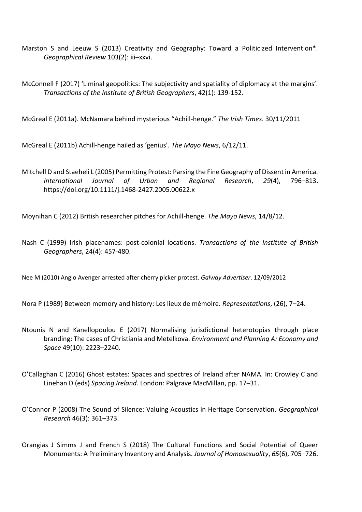Marston S and Leeuw S (2013) Creativity and Geography: Toward a Politicized Intervention\*. *Geographical Review* 103(2): iii–xxvi.

McConnell F (2017) 'Liminal geopolitics: The subjectivity and spatiality of diplomacy at the margins'. *Transactions of the Institute of British Geographers*, 42(1): 139-152.

McGreal E (2011a). McNamara behind mysterious "Achill-henge." *The Irish Times*. 30/11/2011

McGreal E (2011b) Achill-henge hailed as 'genius'. *The Mayo News*, 6/12/11.

Mitchell D and Staeheli L (2005) Permitting Protest: Parsing the Fine Geography of Dissent in America. *International Journal of Urban and Regional Research*, *29*(4), 796–813. https://doi.org/10.1111/j.1468-2427.2005.00622.x

Moynihan C (2012) British researcher pitches for Achill-henge. *The Mayo News*, 14/8/12.

Nash C (1999) Irish placenames: post‐colonial locations. *Transactions of the Institute of British Geographers*, 24(4): 457-480.

Nee M (2010) Anglo Avenger arrested after cherry picker protest. *Galway Advertiser*. 12/09/2012

Nora P (1989) Between memory and history: Les lieux de mémoire. *Representations*, (26), 7–24.

- Ntounis N and Kanellopoulou E (2017) Normalising jurisdictional heterotopias through place branding: The cases of Christiania and Metelkova. *Environment and Planning A: Economy and Space* 49(10): 2223–2240.
- O'Callaghan C (2016) Ghost estates: Spaces and spectres of Ireland after NAMA. In: Crowley C and Linehan D (eds) *Spacing Ireland*. London: Palgrave MacMillan, pp. 17–31.
- O'Connor P (2008) The Sound of Silence: Valuing Acoustics in Heritage Conservation. *Geographical Research* 46(3): 361–373.
- Orangias J Simms J and French S (2018) The Cultural Functions and Social Potential of Queer Monuments: A Preliminary Inventory and Analysis. *Journal of Homosexuality*, *65*(6), 705–726.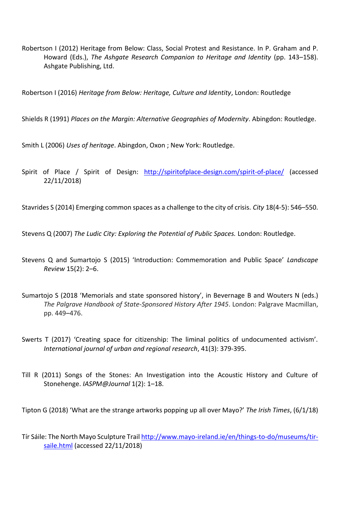Robertson I (2012) Heritage from Below: Class, Social Protest and Resistance. In P. Graham and P. Howard (Eds.), *The Ashgate Research Companion to Heritage and Identity* (pp. 143–158). Ashgate Publishing, Ltd.

Robertson I (2016) *Heritage from Below: Heritage, Culture and Identity*, London: Routledge

Shields R (1991) *Places on the Margin: Alternative Geographies of Modernity*. Abingdon: Routledge.

Smith L (2006) *Uses of heritage*. Abingdon, Oxon ; New York: Routledge.

Spirit of Place / Spirit of Design: <http://spiritofplace-design.com/spirit-of-place/> (accessed 22/11/2018)

Stavrides S (2014) Emerging common spaces as a challenge to the city of crisis. *City* 18(4-5): 546–550.

Stevens Q (2007) *The Ludic City: Exploring the Potential of Public Spaces.* London: Routledge.

- Stevens Q and Sumartojo S (2015) 'Introduction: Commemoration and Public Space' *Landscape Review* 15(2): 2–6.
- Sumartojo S (2018 'Memorials and state sponsored history', in Bevernage B and Wouters N (eds.) *The Palgrave Handbook of State-Sponsored History After 1945*. London: Palgrave Macmillan, pp. 449–476.
- Swerts T (2017) 'Creating space for citizenship: The liminal politics of undocumented activism'. *International journal of urban and regional research*, 41(3): 379-395.
- Till R (2011) Songs of the Stones: An Investigation into the Acoustic History and Culture of Stonehenge. *IASPM@Journal* 1(2): 1–18.

Tipton G (2018) 'What are the strange artworks popping up all over Mayo?' *The Irish Times*, (6/1/18)

Tír Sáile: The North Mayo Sculpture Trail [http://www.mayo-ireland.ie/en/things-to-do/museums/tir](http://www.mayo-ireland.ie/en/things-to-do/museums/tir-saile.html)[saile.html](http://www.mayo-ireland.ie/en/things-to-do/museums/tir-saile.html) (accessed 22/11/2018)